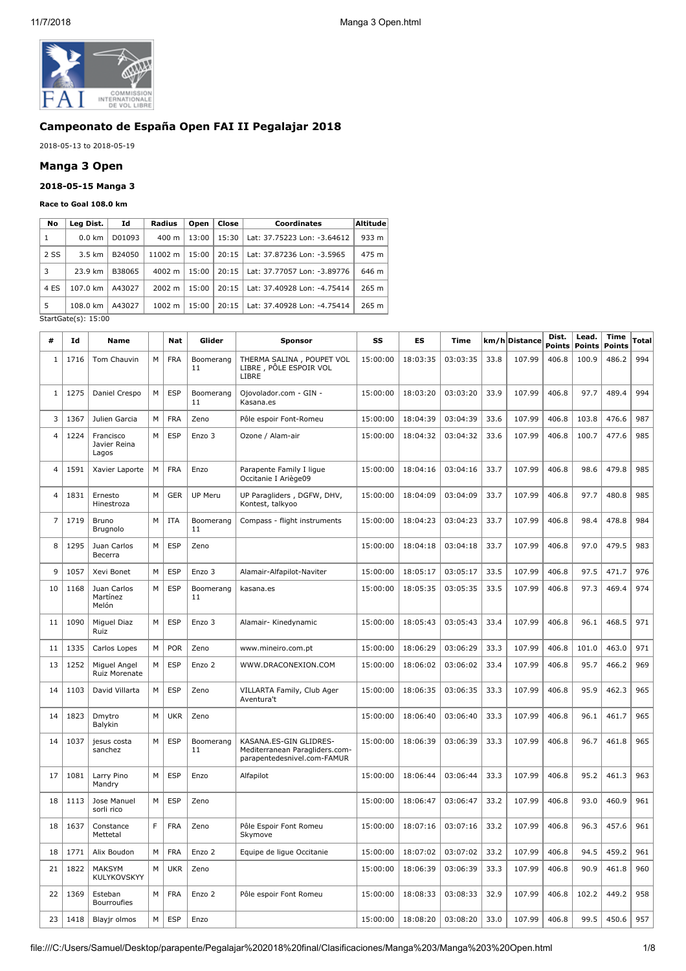

# **Campeonato de España Open FAI II Pegalajar 2018**

2018-05-13 to 2018-05-19

#### **Manga 3 Open**

#### **2018-05-15 Manga 3**

#### **Race to Goal 108.0 km**

| No   | Leg Dist.           | Id     | Radius          | Open  | Close | Coordinates                 | <b>Altitude</b> |
|------|---------------------|--------|-----------------|-------|-------|-----------------------------|-----------------|
| 1    | $0.0$ km            | D01093 | $400 \text{ m}$ | 13:00 | 15:30 | Lat: 37.75223 Lon: -3.64612 | 933 m           |
| 2 SS | $3.5 \text{ km}$    | B24050 | 11002 m         | 15:00 | 20:15 | Lat: 37.87236 Lon: -3.5965  | 475 m           |
| 3    | 23.9 km             | B38065 | 4002 m          | 15:00 | 20:15 | Lat: 37.77057 Lon: -3.89776 | 646 m           |
| 4 ES | 107.0 km            | A43027 | $2002 \; m$     | 15:00 | 20:15 | Lat: 37.40928 Lon: -4.75414 | 265 m           |
| 5    | 108.0 km            | A43027 | $1002 \; m$     | 15:00 | 20:15 | Lat: 37.40928 Lon: -4.75414 | 265 m           |
|      | StartGate(s): 15:00 |        |                 |       |       |                             |                 |

**# Id Name Nat Glider Sponsor SS ES Time km/h Distance Dist. Points Lead. Points Time Points Total**  $1 \mid 1716 \mid$  Tom Chauvin  $\mid M \mid$  FRA  $\mid$  Boomerang 11 THERMA SALINA , POUPET VOL LIBRE , PÔLE ESPOIR VOL LIBRE 15:00:00 18:03:35 03:03:35 33.8 107.99 406.8 100.9 486.2 994  $1 \mid 1275 \mid$  Daniel Crespo  $\mid M \mid$  ESP  $\mid$  Boomerang 11 Ojovolador.com - GIN - Kasana.es 15:00:00 | 18:03:20 | 03:03:20 | 33.9 | 107.99 | 406.8 | 97.7 | 489.4 | 994 3 1367 Julien Garcia M FRA Zeno Pôle espoir Font-Romeu 15:00:00 18:04:39 03:04:39 33.6 107.99 406.8 103.8 476.6 987 4 1224 Francisco Javier Reina Lagos M ESP Enzo 3 Ozone / Alam-air 15:00:00 18:04:32 03:04:32 33.6 107.99 406.8 100.7 477.6 985 4 | 1591 | Xavier Laporte | M | FRA | Enzo | Parapente Family I ligue Occitanie I Ariège09 15:00:00 18:04:16 03:04:16 33.7 107.99 406.8 98.6 479.8 985 4 1831 Ernesto Hinestroza  $M \vert$  GER  $\vert$  UP Meru  $\vert$  UP Paragliders, DGFW, DHV, Kontest, talkyoo 15:00:00 | 18:04:09 | 03:04:09 | 33.7 | 107.99 | 406.8 | 97.7 | 480.8 | 985 7 1719 Bruno Brugnolo  $M$  ITA Boomerang 11 Compass - flight instruments | 15:00:00 | 18:04:23 | 03:04:23 | 33.7 | 107.99 | 406.8 | 98.4 | 478.8 | 984 8 | 1295 | Juan Carlos Becerra M ESP Zeno 15:00:00 18:04:18 03:04:18 33.7 107.99 406.8 97.0 479.5 983 9 1057 Xevi Bonet M ESP Enzo 3 Alamair-Alfapilot-Naviter 15:00:00 18:05:17 03:05:17 33.5 107.99 406.8 97.5 471.7 976 10 1168 Juan Carlos Martínez Melón  $M \vert$  ESP  $\vert$  Boomerang 11 kasana.es 15:00:00 | 18:05:35 | 03:05:35 | 33.5 | 107.99 | 406.8 | 97.3 | 469.4 | 974 11 | 1090 | Miguel Diaz Ruiz M ESP Enzo 3 Alamair- Kinedynamic 15:00:00 18:05:43 03:05:43 33.4 107.99 406.8 96.1 468.5 971 11 1335 Carlos Lopes M POR Zeno www.mineiro.com.pt 15:00:00 18:06:29 03:06:29 33.3 107.99 406.8 101.0 463.0 971 13 1252 Miguel Angel Ruiz Morenate M ESP Enzo 2 WWW.DRACONEXION.COM 15:00:00 18:06:02 03:06:02 33.4 107.99 406.8 95.7 466.2 969 14 | 1103 | David Villarta | M | ESP | Zeno | VILLARTA Family, Club Ager Aventura't 15:00:00 18:06:35 03:06:35 33.3 107.99 406.8 95.9 462.3 965 14 | 1823 | Dmytro Balykin M UKR Zeno 15:00:00 18:06:40 03:06:40 33.3 107.99 406.8 96.1 461.7 965 14 | 1037 | jesus costa sanchez  $M \vert$  ESP | Boomerang 11 KASANA.ES-GIN GLIDRES-Mediterranean Paragliders.comparapentedesnivel.com-FAMUR 15:00:00 18:06:39 03:06:39 33.3 107.99 406.8 96.7 461.8 965 17 | 1081 | Larry Pino Mandry M ESP Enzo Alfapilot 15:00:00 18:06:44 03:06:44 33.3 107.99 406.8 95.2 461.3 963 18 1113 Jose Manuel sorli rico M ESP Zeno 15:00:00 18:06:47 03:06:47 33.2 107.99 406.8 93.0 460.9 961 18 1637 Constance Mettetal F FRA Zeno Pôle Espoir Font Romeu Skymove 15:00:00 18:07:16 03:07:16 33.2 107.99 406.8 96.3 457.6 961 18 1771 Alix Boudon M FRA Enzo 2 Equipe de ligue Occitanie 15:00:00 18:07:02 03:07:02 33.2 107.99 406.8 94.5 459.2 961 21 1822 MAKSYM **KULYKOVSKYY** M UKR Zeno 15:00:00 18:06:39 03:06:39 33.3 107.99 406.8 90.9 461.8 960 22 1369 Esteban Bourroufies M FRA Enzo 2 Pôle espoir Font Romeu 15:00:00 18:08:33 03:08:33 32.9 107.99 406.8 102.2 449.2 958 23 1418 Blayjr olmos M ESP Enzo 15:00:00 18:08:20 03:08:20 33.0 107.99 406.8 99.5 450.6 957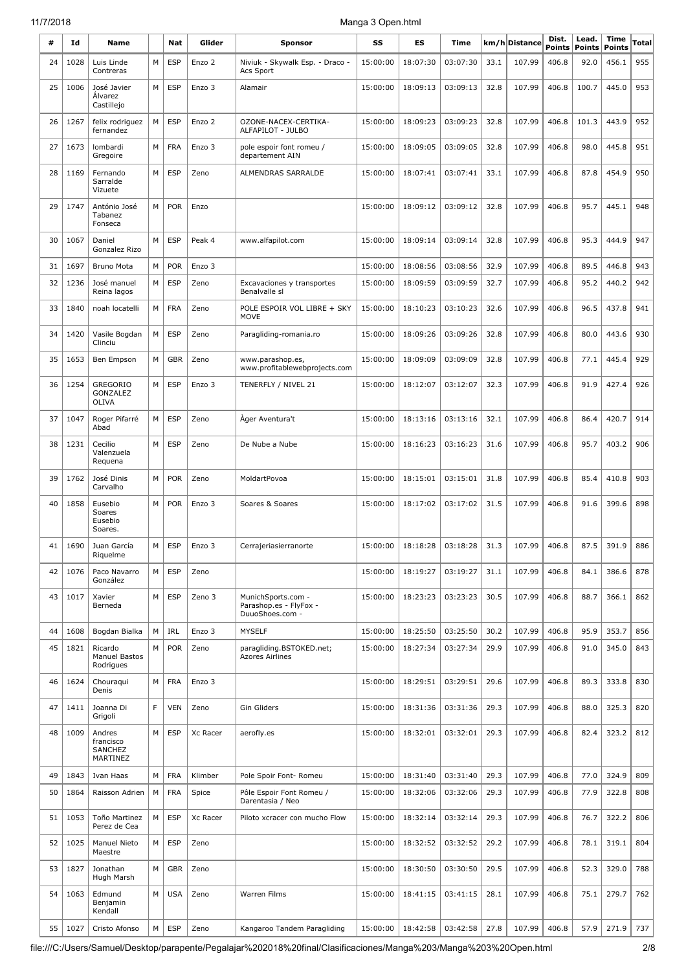| #  | Ιd   | Name                                       |             | <b>Nat</b> | Glider   | <b>Sponsor</b>                                                  | SS       | ES                             | Time     |      | km/h Distance | Dist.<br>Points | Lead.<br><b>Points</b> | Time<br><b>Points</b> | Total |
|----|------|--------------------------------------------|-------------|------------|----------|-----------------------------------------------------------------|----------|--------------------------------|----------|------|---------------|-----------------|------------------------|-----------------------|-------|
| 24 | 1028 | Luis Linde<br>Contreras                    | M           | <b>ESP</b> | Enzo 2   | Niviuk - Skywalk Esp. - Draco -<br>Acs Sport                    | 15:00:00 | 18:07:30                       | 03:07:30 | 33.1 | 107.99        | 406.8           | 92.0                   | 456.1                 | 955   |
| 25 | 1006 | José Javier<br>Álvarez<br>Castillejo       | M           | <b>ESP</b> | Enzo 3   | Alamair                                                         | 15:00:00 | 18:09:13                       | 03:09:13 | 32.8 | 107.99        | 406.8           | 100.7                  | 445.0                 | 953   |
| 26 | 1267 | felix rodriguez<br>fernandez               | M           | <b>ESP</b> | Enzo 2   | OZONE-NACEX-CERTIKA-<br>ALFAPILOT - JULBO                       | 15:00:00 | 18:09:23                       | 03:09:23 | 32.8 | 107.99        | 406.8           | 101.3                  | 443.9                 | 952   |
| 27 | 1673 | lombardi<br>Gregoire                       | M           | <b>FRA</b> | Enzo 3   | pole espoir font romeu /<br>departement AIN                     | 15:00:00 | 18:09:05                       | 03:09:05 | 32.8 | 107.99        | 406.8           | 98.0                   | 445.8                 | 951   |
| 28 | 1169 | Fernando<br>Sarralde<br>Vizuete            | M           | <b>ESP</b> | Zeno     | ALMENDRAS SARRALDE                                              | 15:00:00 | 18:07:41                       | 03:07:41 | 33.1 | 107.99        | 406.8           | 87.8                   | 454.9                 | 950   |
| 29 | 1747 | António José<br>Tabanez<br>Fonseca         | M           | <b>POR</b> | Enzo     |                                                                 | 15:00:00 | 18:09:12                       | 03:09:12 | 32.8 | 107.99        | 406.8           | 95.7                   | 445.1                 | 948   |
| 30 | 1067 | Daniel<br>Gonzalez Rizo                    | M           | <b>ESP</b> | Peak 4   | www.alfapilot.com                                               | 15:00:00 | 18:09:14                       | 03:09:14 | 32.8 | 107.99        | 406.8           | 95.3                   | 444.9                 | 947   |
| 31 | 1697 | <b>Bruno Mota</b>                          | M           | <b>POR</b> | Enzo 3   |                                                                 | 15:00:00 | 18:08:56                       | 03:08:56 | 32.9 | 107.99        | 406.8           | 89.5                   | 446.8                 | 943   |
| 32 | 1236 | José manuel<br>Reina lagos                 | M           | <b>ESP</b> | Zeno     | Excavaciones v transportes<br>Benalvalle sl                     | 15:00:00 | 18:09:59                       | 03:09:59 | 32.7 | 107.99        | 406.8           | 95.2                   | 440.2                 | 942   |
| 33 | 1840 | noah locatelli                             | M           | <b>FRA</b> | Zeno     | POLE ESPOIR VOL LIBRE + SKY<br><b>MOVE</b>                      | 15:00:00 | 18:10:23                       | 03:10:23 | 32.6 | 107.99        | 406.8           | 96.5                   | 437.8                 | 941   |
| 34 | 1420 | Vasile Bogdan<br>Clinciu                   | M           | <b>ESP</b> | Zeno     | Paragliding-romania.ro                                          | 15:00:00 | 18:09:26                       | 03:09:26 | 32.8 | 107.99        | 406.8           | 80.0                   | 443.6                 | 930   |
| 35 | 1653 | Ben Empson                                 | M           | <b>GBR</b> | Zeno     | www.parashop.es,<br>www.profitablewebprojects.com               | 15:00:00 | 18:09:09                       | 03:09:09 | 32.8 | 107.99        | 406.8           | 77.1                   | 445.4                 | 929   |
| 36 | 1254 | <b>GREGORIO</b><br>GONZALEZ<br>OLIVA       | M           | <b>ESP</b> | Enzo 3   | TENERFLY / NIVEL 21                                             | 15:00:00 | 18:12:07                       | 03:12:07 | 32.3 | 107.99        | 406.8           | 91.9                   | 427.4                 | 926   |
| 37 | 1047 | Roger Pifarré<br>Abad                      | M           | <b>ESP</b> | Zeno     | Ager Aventura't                                                 | 15:00:00 | 18:13:16                       | 03:13:16 | 32.1 | 107.99        | 406.8           | 86.4                   | 420.7                 | 914   |
| 38 | 1231 | Cecilio<br>Valenzuela<br>Requena           | M           | <b>ESP</b> | Zeno     | De Nube a Nube                                                  | 15:00:00 | 18:16:23                       | 03:16:23 | 31.6 | 107.99        | 406.8           | 95.7                   | 403.2                 | 906   |
| 39 | 1762 | José Dinis<br>Carvalho                     | M           | <b>POR</b> | Zeno     | MoldartPovoa                                                    | 15:00:00 | 18:15:01                       | 03:15:01 | 31.8 | 107.99        | 406.8           | 85.4                   | 410.8                 | 903   |
| 40 | 1858 | Eusebio<br>Soares<br>Eusebio<br>Soares.    | M           | <b>POR</b> | Enzo 3   | Soares & Soares                                                 | 15:00:00 | 18:17:02                       | 03:17:02 | 31.5 | 107.99        | 406.8           | 91.6                   | 399.6                 | 898   |
| 41 | 1690 | Juan García<br>Riquelme                    | ${\sf M}$   | ESP        | Enzo 3   | Cerrajeriasierranorte                                           |          | 15:00:00   18:18:28   03:18:28 |          | 31.3 | 107.99        | 406.8           | 87.5                   | 391.9                 | 886   |
| 42 | 1076 | Paco Navarro<br>González                   | М           | <b>ESP</b> | Zeno     |                                                                 | 15:00:00 | 18:19:27                       | 03:19:27 | 31.1 | 107.99        | 406.8           | 84.1                   | 386.6                 | 878   |
| 43 | 1017 | Xavier<br>Berneda                          | M           | <b>ESP</b> | Zeno 3   | MunichSports.com -<br>Parashop.es - FlyFox -<br>DuuoShoes.com - | 15:00:00 | 18:23:23                       | 03:23:23 | 30.5 | 107.99        | 406.8           | 88.7                   | 366.1                 | 862   |
| 44 | 1608 | Bogdan Bialka                              | M           | IRL        | Enzo 3   | <b>MYSELF</b>                                                   | 15:00:00 | 18:25:50                       | 03:25:50 | 30.2 | 107.99        | 406.8           | 95.9                   | 353.7                 | 856   |
| 45 | 1821 | Ricardo<br>Manuel Bastos<br>Rodrigues      | M           | <b>POR</b> | Zeno     | paragliding.BSTOKED.net;<br><b>Azores Airlines</b>              | 15:00:00 | 18:27:34                       | 03:27:34 | 29.9 | 107.99        | 406.8           | 91.0                   | 345.0                 | 843   |
| 46 | 1624 | Chouraqui<br>Denis                         | M           | <b>FRA</b> | Enzo 3   |                                                                 | 15:00:00 | 18:29:51                       | 03:29:51 | 29.6 | 107.99        | 406.8           | 89.3                   | 333.8                 | 830   |
| 47 | 1411 | Joanna Di<br>Grigoli                       | $\mathsf F$ | <b>VEN</b> | Zeno     | Gin Gliders                                                     | 15:00:00 | 18:31:36                       | 03:31:36 | 29.3 | 107.99        | 406.8           | 88.0                   | 325.3                 | 820   |
| 48 | 1009 | Andres<br>francisco<br>SANCHEZ<br>MARTINEZ | M           | <b>ESP</b> | Xc Racer | aerofly.es                                                      | 15:00:00 | 18:32:01                       | 03:32:01 | 29.3 | 107.99        | 406.8           | 82.4                   | 323.2                 | 812   |
| 49 | 1843 | Ivan Haas                                  | M           | <b>FRA</b> | Klimber  | Pole Spoir Font- Romeu                                          | 15:00:00 | 18:31:40                       | 03:31:40 | 29.3 | 107.99        | 406.8           | 77.0                   | 324.9                 | 809   |
| 50 | 1864 | Raisson Adrien                             | M           | <b>FRA</b> | Spice    | Pôle Espoir Font Romeu /<br>Darentasia / Neo                    | 15:00:00 | 18:32:06                       | 03:32:06 | 29.3 | 107.99        | 406.8           | 77.9                   | 322.8                 | 808   |
| 51 | 1053 | Toño Martinez<br>Perez de Cea              | M           | <b>ESP</b> | Xc Racer | Piloto xcracer con mucho Flow                                   | 15:00:00 | 18:32:14                       | 03:32:14 | 29.3 | 107.99        | 406.8           | 76.7                   | 322.2                 | 806   |
| 52 | 1025 | Manuel Nieto<br>Maestre                    | M           | <b>ESP</b> | Zeno     |                                                                 | 15:00:00 | 18:32:52                       | 03:32:52 | 29.2 | 107.99        | 406.8           | 78.1                   | 319.1                 | 804   |
| 53 | 1827 | Jonathan<br>Hugh Marsh                     | M           | <b>GBR</b> | Zeno     |                                                                 | 15:00:00 | 18:30:50                       | 03:30:50 | 29.5 | 107.99        | 406.8           | 52.3                   | 329.0                 | 788   |
| 54 | 1063 | Edmund<br>Benjamin<br>Kendall              | M           | <b>USA</b> | Zeno     | Warren Films                                                    | 15:00:00 | 18:41:15                       | 03:41:15 | 28.1 | 107.99        | 406.8           | 75.1                   | 279.7                 | 762   |
| 55 | 1027 | Cristo Afonso                              | M           | <b>ESP</b> | Zeno     | Kangaroo Tandem Paragliding                                     | 15:00:00 | 18:42:58                       | 03:42:58 | 27.8 | 107.99        | 406.8           | 57.9                   | 271.9                 | 737   |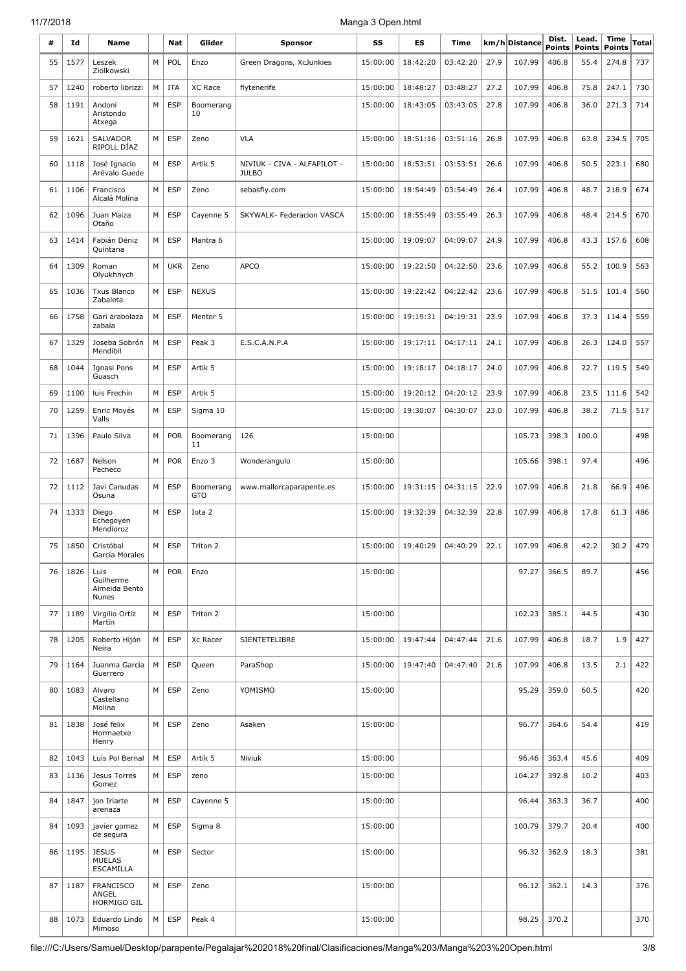| #  | Id      | Name                                              |   | Nat           | Glider                  |                                             | SS       | ES                  | Time     |      | km/h Distance | Dist.         | Lead.         | Time          | Total |
|----|---------|---------------------------------------------------|---|---------------|-------------------------|---------------------------------------------|----------|---------------------|----------|------|---------------|---------------|---------------|---------------|-------|
|    |         |                                                   |   |               |                         | Sponsor                                     |          |                     |          |      |               | <b>Points</b> | <b>Points</b> | <b>Points</b> |       |
| 55 | 1577    | Leszek<br>Ziolkowski                              | M | POL           | Enzo                    | Green Dragons, XcJunkies                    | 15:00:00 | 18:42:20            | 03:42:20 | 27.9 | 107.99        | 406.8         | 55.4          | 274.8         | 737   |
| 57 | 1240    | roberto librizzi                                  | M | <b>ITA</b>    | XC Race                 | flytenerife                                 | 15:00:00 | 18:48:27            | 03:48:27 | 27.2 | 107.99        | 406.8         | 75.8          | 247.1         | 730   |
| 58 | 1191    | Andoni<br>Aristondo<br>Atxega                     | M | <b>ESP</b>    | Boomerang<br>10         |                                             | 15:00:00 | 18:43:05            | 03:43:05 | 27.8 | 107.99        | 406.8         | 36.0          | 271.3         | 714   |
| 59 | 1621    | SALVADOR<br>RIPOLL DÍAZ                           | M | <b>ESP</b>    | Zeno                    | <b>VLA</b>                                  | 15:00:00 | 18:51:16            | 03:51:16 | 26.8 | 107.99        | 406.8         | 63.8          | 234.5         | 705   |
| 60 | 1118    | José Ignacio<br>Arévalo Guede                     | M | <b>ESP</b>    | Artik 5                 | NIVIUK - CIVA - ALFAPILOT -<br><b>JULBO</b> | 15:00:00 | 18:53:51            | 03:53:51 | 26.6 | 107.99        | 406.8         | 50.5          | 223.1         | 680   |
| 61 | 1106    | Francisco<br>Alcalá Molina                        | М | <b>ESP</b>    | Zeno                    | sebasfly.com                                | 15:00:00 | 18:54:49            | 03:54:49 | 26.4 | 107.99        | 406.8         | 48.7          | 218.9         | 674   |
| 62 | 1096    | Juan Maiza<br>Otaño                               | M | <b>ESP</b>    | Cayenne 5               | SKYWALK- Federacion VASCA                   | 15:00:00 | 18:55:49            | 03:55:49 | 26.3 | 107.99        | 406.8         | 48.4          | 214.5         | 670   |
| 63 | 1414    | Fabián Déniz<br>Quintana                          | М | <b>ESP</b>    | Mantra 6                |                                             | 15:00:00 | 19:09:07            | 04:09:07 | 24.9 | 107.99        | 406.8         | 43.3          | 157.6         | 608   |
| 64 | 1309    | Roman<br>Olyukhnych                               | М | <b>UKR</b>    | Zeno                    | <b>APCO</b>                                 | 15:00:00 | 19:22:50            | 04:22:50 | 23.6 | 107.99        | 406.8         | 55.2          | 100.9         | 563   |
| 65 | 1036    | <b>Txus Blanco</b><br>Zabaleta                    | M | <b>ESP</b>    | <b>NEXUS</b>            |                                             | 15:00:00 | 19:22:42            | 04:22:42 | 23.6 | 107.99        | 406.8         | 51.5          | 101.4         | 560   |
| 66 | 1758    | Gari arabolaza<br>zabala                          | M | <b>ESP</b>    | Mentor 5                |                                             | 15:00:00 | 19:19:31            | 04:19:31 | 23.9 | 107.99        | 406.8         | 37.3          | 114.4         | 559   |
| 67 | 1329    | Joseba Sobrón<br>Mendibil                         | M | <b>ESP</b>    | Peak 3                  | E.S.C.A.N.P.A                               | 15:00:00 | 19:17:11            | 04:17:11 | 24.1 | 107.99        | 406.8         | 26.3          | 124.0         | 557   |
| 68 | 1044    | Ignasi Pons<br>Guasch                             | M | <b>ESP</b>    | Artik 5                 |                                             | 15:00:00 | 19:18:17            | 04:18:17 | 24.0 | 107.99        | 406.8         | 22.7          | 119.5         | 549   |
| 69 | 1100    | luis Frechín                                      | М | <b>ESP</b>    | Artik 5                 |                                             | 15:00:00 | 19:20:12            | 04:20:12 | 23.9 | 107.99        | 406.8         | 23.5          | 111.6         | 542   |
| 70 | 1259    | Enric Moyés<br>Valls                              | M | <b>ESP</b>    | Sigma 10                |                                             | 15:00:00 | 19:30:07            | 04:30:07 | 23.0 | 107.99        | 406.8         | 38.2          | 71.5          | 517   |
| 71 | 1396    | Paulo Silva                                       | М | <b>POR</b>    | Boomerang<br>11         | 126                                         | 15:00:00 |                     |          |      | 105.73        | 398.3         | 100.0         |               | 498   |
| 72 | 1687    | Nelson<br>Pacheco                                 | M | <b>POR</b>    | Enzo 3                  | Wonderangulo                                | 15:00:00 |                     |          |      | 105.66        | 398.1         | 97.4          |               | 496   |
| 72 | 1112    | Javi Canudas<br>Osuna                             | M | <b>ESP</b>    | Boomerang<br><b>GTO</b> | www.mallorcaparapente.es                    | 15:00:00 | 19:31:15            | 04:31:15 | 22.9 | 107.99        | 406.8         | 21.8          | 66.9          | 496   |
| 74 | 1333    | Diego<br>Echegoyen<br>Mendioroz                   | M | <b>ESP</b>    | Iota 2                  |                                             | 15:00:00 | 19:32:39            | 04:32:39 | 22.8 | 107.99        | 406.8         | 17.8          | 61.3          | 486   |
|    | 75 1850 | Cristóbal<br>García Morales                       |   | $M \vert$ ESP | Triton 2                |                                             |          | 15:00:00   19:40:29 | 04:40:29 | 22.1 | 107.99        | 406.8         | 42.2          | 30.2          | 479   |
| 76 | 1826    | Luis<br>Guilherme<br>Almeida Bento<br>Nunes       | M | POR           | Enzo                    |                                             | 15:00:00 |                     |          |      | 97.27         | 366.5         | 89.7          |               | 456   |
| 77 | 1189    | Virgilio Ortiz<br>Martín                          | М | <b>ESP</b>    | Triton 2                |                                             | 15:00:00 |                     |          |      | 102.23        | 385.1         | 44.5          |               | 430   |
| 78 | 1205    | Roberto Hijón<br>Neira                            | M | <b>ESP</b>    | Xc Racer                | SIENTETELIBRE                               | 15:00:00 | 19:47:44            | 04:47:44 | 21.6 | 107.99        | 406.8         | 18.7          | 1.9           | 427   |
| 79 | 1164    | Juanma Garcia<br>Guerrero                         | M | <b>ESP</b>    | Queen                   | ParaShop                                    | 15:00:00 | 19:47:40            | 04:47:40 | 21.6 | 107.99        | 406.8         | 13.5          | 2.1           | 422   |
| 80 | 1083    | Alvaro<br>Castellano<br>Molina                    | М | <b>ESP</b>    | Zeno                    | YOMISMO                                     | 15:00:00 |                     |          |      | 95.29         | 359.0         | 60.5          |               | 420   |
| 81 | 1838    | José felix<br>Hormaetxe<br>Henry                  | М | <b>ESP</b>    | Zeno                    | Asaken                                      | 15:00:00 |                     |          |      | 96.77         | 364.6         | 54.4          |               | 419   |
| 82 | 1043    | Luis Pol Bernal                                   | M | <b>ESP</b>    | Artik 5                 | Niviuk                                      | 15:00:00 |                     |          |      | 96.46         | 363.4         | 45.6          |               | 409   |
| 83 | 1136    | Jesus Torres<br>Gomez                             | М | <b>ESP</b>    | zeno                    |                                             | 15:00:00 |                     |          |      | 104.27        | 392.8         | 10.2          |               | 403   |
| 84 | 1847    | jon Iriarte<br>arenaza                            | М | <b>ESP</b>    | Cayenne 5               |                                             | 15:00:00 |                     |          |      | 96.44         | 363.3         | 36.7          |               | 400   |
| 84 | 1093    | javier gomez<br>de segura                         | М | <b>ESP</b>    | Sigma 8                 |                                             | 15:00:00 |                     |          |      | 100.79        | 379.7         | 20.4          |               | 400   |
| 86 | 1195    | <b>JESUS</b><br><b>MUELAS</b><br><b>ESCAMILLA</b> | M | <b>ESP</b>    | Sector                  |                                             | 15:00:00 |                     |          |      | 96.32         | 362.9         | 18.3          |               | 381   |
| 87 | 1187    | <b>FRANCISCO</b><br>ANGEL<br>HORMIGO GIL          | M | <b>ESP</b>    | Zeno                    |                                             | 15:00:00 |                     |          |      | 96.12         | 362.1         | 14.3          |               | 376   |
| 88 | 1073    | Eduardo Lindo<br>Mimoso                           | М | <b>ESP</b>    | Peak 4                  |                                             | 15:00:00 |                     |          |      | 98.25         | 370.2         |               |               | 370   |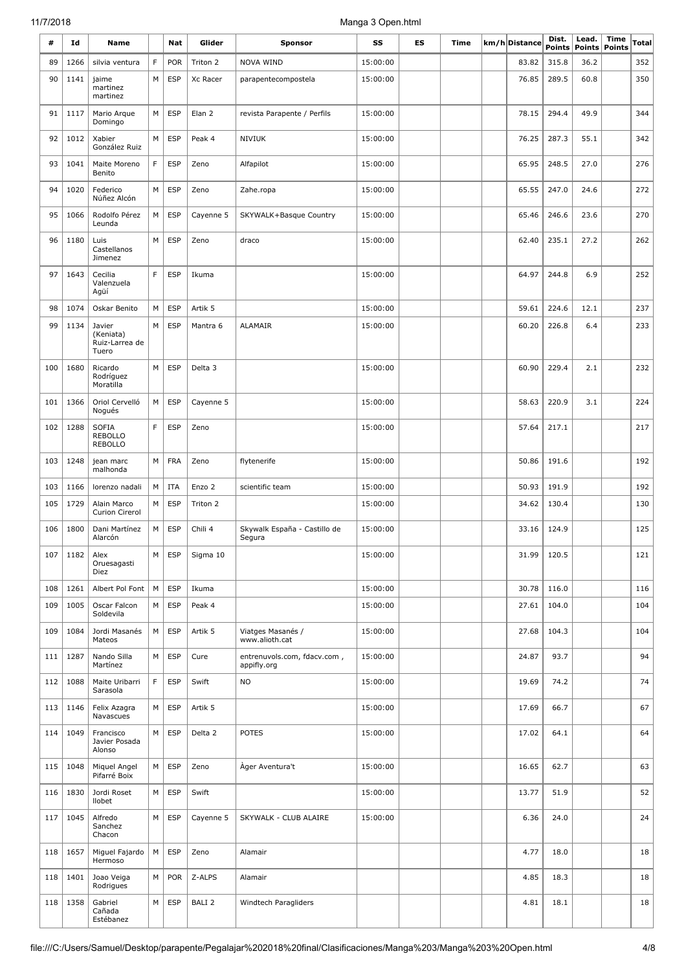| #   | Id   | Name                                             |             | Nat        | Glider            | <b>Sponsor</b>                             | SS       | ES | Time | km/h Distance | Dist.<br><b>Points</b> | Lead.<br>Points | <b>Time</b><br>Points | Total |
|-----|------|--------------------------------------------------|-------------|------------|-------------------|--------------------------------------------|----------|----|------|---------------|------------------------|-----------------|-----------------------|-------|
| 89  | 1266 | silvia ventura                                   | F           | POR        | Triton 2          | NOVA WIND                                  | 15:00:00 |    |      | 83.82         | 315.8                  | 36.2            |                       | 352   |
| 90  | 1141 | jaime<br>martinez<br>martinez                    | M           | <b>ESP</b> | Xc Racer          | parapentecompostela                        | 15:00:00 |    |      | 76.85         | 289.5                  | 60.8            |                       | 350   |
| 91  | 1117 | Mario Arque<br>Domingo                           | M           | <b>ESP</b> | Elan 2            | revista Parapente / Perfils                | 15:00:00 |    |      | 78.15         | 294.4                  | 49.9            |                       | 344   |
| 92  | 1012 | Xabier<br>González Ruiz                          | M           | <b>ESP</b> | Peak 4            | <b>NIVIUK</b>                              | 15:00:00 |    |      | 76.25         | 287.3                  | 55.1            |                       | 342   |
| 93  | 1041 | Maite Moreno<br>Benito                           | F           | <b>ESP</b> | Zeno              | Alfapilot                                  | 15:00:00 |    |      | 65.95         | 248.5                  | 27.0            |                       | 276   |
| 94  | 1020 | Federico<br>Núñez Alcón                          | M           | <b>ESP</b> | Zeno              | Zahe.ropa                                  | 15:00:00 |    |      | 65.55         | 247.0                  | 24.6            |                       | 272   |
| 95  | 1066 | Rodolfo Pérez<br>Leunda                          | M           | <b>ESP</b> | Cayenne 5         | SKYWALK+Basque Country                     | 15:00:00 |    |      | 65.46         | 246.6                  | 23.6            |                       | 270   |
| 96  | 1180 | Luis<br>Castellanos<br>Jimenez                   | M           | <b>ESP</b> | Zeno              | draco                                      | 15:00:00 |    |      | 62.40         | 235.1                  | 27.2            |                       | 262   |
| 97  | 1643 | Cecilia<br>Valenzuela<br>Agüí                    | $\mathsf F$ | <b>ESP</b> | Ikuma             |                                            | 15:00:00 |    |      | 64.97         | 244.8                  | 6.9             |                       | 252   |
| 98  | 1074 | Oskar Benito                                     | M           | <b>ESP</b> | Artik 5           |                                            | 15:00:00 |    |      | 59.61         | 224.6                  | 12.1            |                       | 237   |
| 99  | 1134 | Javier<br>(Keniata)<br>Ruiz-Larrea de<br>Tuero   | M           | <b>ESP</b> | Mantra 6          | <b>ALAMAIR</b>                             | 15:00:00 |    |      | 60.20         | 226.8                  | 6.4             |                       | 233   |
| 100 | 1680 | Ricardo<br>Rodríguez<br>Moratilla                | M           | <b>ESP</b> | Delta 3           |                                            | 15:00:00 |    |      | 60.90         | 229.4                  | 2.1             |                       | 232   |
| 101 | 1366 | Oriol Cervelló<br>Nogués                         | M           | <b>ESP</b> | Cayenne 5         |                                            | 15:00:00 |    |      | 58.63         | 220.9                  | 3.1             |                       | 224   |
| 102 | 1288 | <b>SOFIA</b><br><b>REBOLLO</b><br><b>REBOLLO</b> | F           | <b>ESP</b> | Zeno              |                                            | 15:00:00 |    |      | 57.64         | 217.1                  |                 |                       | 217   |
| 103 | 1248 | jean marc<br>malhonda                            | M           | <b>FRA</b> | Zeno              | flytenerife                                | 15:00:00 |    |      | 50.86         | 191.6                  |                 |                       | 192   |
| 103 | 1166 | lorenzo nadali                                   | M           | ITA        | Enzo 2            | scientific team                            | 15:00:00 |    |      | 50.93         | 191.9                  |                 |                       | 192   |
| 105 | 1729 | Alain Marco<br>Curion Cirerol                    | M           | <b>ESP</b> | Triton 2          |                                            | 15:00:00 |    |      | 34.62         | 130.4                  |                 |                       | 130   |
| 106 | 1800 | Dani Martínez<br>Alarcón                         | M           | <b>ESP</b> | Chili 4           | Skywalk España - Castillo de<br>Segura     | 15:00:00 |    |      | 33.16         | 124.9                  |                 |                       | 125   |
| 107 | 1182 | Alex<br>Oruesagasti<br>Diez                      | М           | <b>ESP</b> | Sigma 10          |                                            | 15:00:00 |    |      | 31.99         | 120.5                  |                 |                       | 121   |
| 108 | 1261 | Albert Pol Font                                  | M           | <b>ESP</b> | Ikuma             |                                            | 15:00:00 |    |      | 30.78         | 116.0                  |                 |                       | 116   |
| 109 | 1005 | Oscar Falcon<br>Soldevila                        | M           | <b>ESP</b> | Peak 4            |                                            | 15:00:00 |    |      | 27.61         | 104.0                  |                 |                       | 104   |
| 109 | 1084 | Jordi Masanés<br>Mateos                          | M           | <b>ESP</b> | Artik 5           | Viatges Masanés /<br>www.alioth.cat        | 15:00:00 |    |      | 27.68         | 104.3                  |                 |                       | 104   |
| 111 | 1287 | Nando Silla<br>Martínez                          | M           | <b>ESP</b> | Cure              | entrenuvols.com, fdacv.com,<br>appifly.org | 15:00:00 |    |      | 24.87         | 93.7                   |                 |                       | 94    |
| 112 | 1088 | Maite Uribarri<br>Sarasola                       | F           | <b>ESP</b> | Swift             | <b>NO</b>                                  | 15:00:00 |    |      | 19.69         | 74.2                   |                 |                       | 74    |
| 113 | 1146 | Felix Azagra<br>Navascues                        | M           | <b>ESP</b> | Artik 5           |                                            | 15:00:00 |    |      | 17.69         | 66.7                   |                 |                       | 67    |
| 114 | 1049 | Francisco<br>Javier Posada<br>Alonso             | M           | <b>ESP</b> | Delta 2           | <b>POTES</b>                               | 15:00:00 |    |      | 17.02         | 64.1                   |                 |                       | 64    |
| 115 | 1048 | Miquel Angel<br>Pifarré Boix                     | M           | <b>ESP</b> | Zeno              | Àger Aventura't                            | 15:00:00 |    |      | 16.65         | 62.7                   |                 |                       | 63    |
| 116 | 1830 | Jordi Roset<br>llobet                            | M           | <b>ESP</b> | Swift             |                                            | 15:00:00 |    |      | 13.77         | 51.9                   |                 |                       | 52    |
| 117 | 1045 | Alfredo<br>Sanchez<br>Chacon                     | M           | <b>ESP</b> | Cayenne 5         | SKYWALK - CLUB ALAIRE                      | 15:00:00 |    |      | 6.36          | 24.0                   |                 |                       | 24    |
| 118 | 1657 | Miguel Fajardo<br>Hermoso                        | M           | <b>ESP</b> | Zeno              | Alamair                                    |          |    |      | 4.77          | 18.0                   |                 |                       | 18    |
| 118 | 1401 | Joao Veiga<br>Rodrigues                          | M           | <b>POR</b> | Z-ALPS            | Alamair                                    |          |    |      | 4.85          | 18.3                   |                 |                       | 18    |
| 118 | 1358 | Gabriel<br>Cañada<br>Estébanez                   | M           | <b>ESP</b> | BALI <sub>2</sub> | Windtech Paragliders                       |          |    |      | 4.81          | 18.1                   |                 |                       | 18    |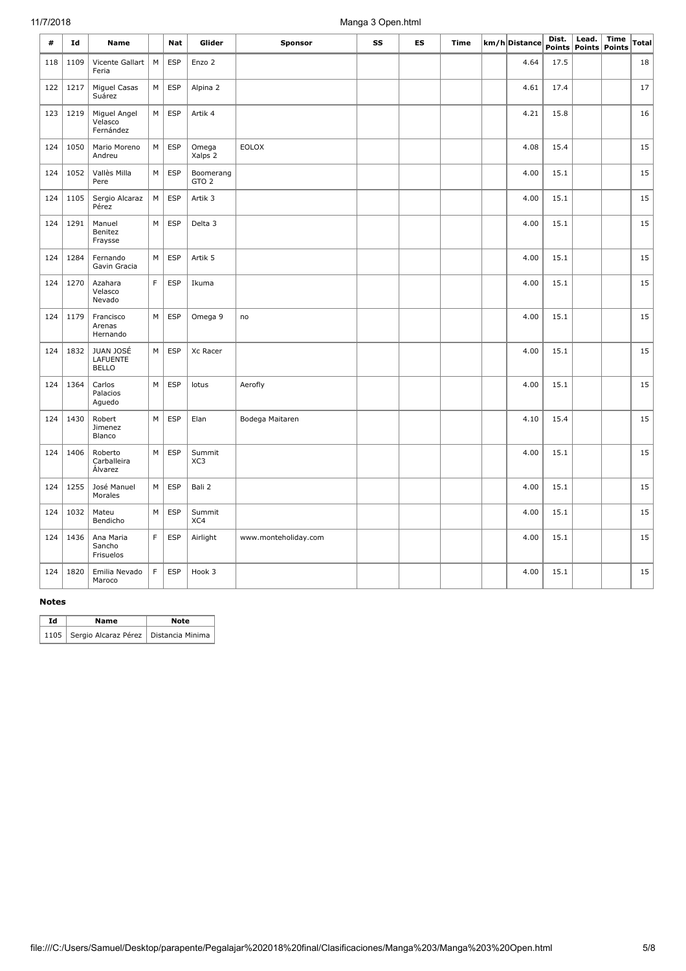| #   | Id   | Name                                  |             | Nat        | Glider                        | <b>Sponsor</b>       | SS | ES | Time | km/h Distance | Dist.<br><b>Points</b> | Lead.<br><b>Points</b> | Time<br><b>Points</b> | <b>Total</b> |
|-----|------|---------------------------------------|-------------|------------|-------------------------------|----------------------|----|----|------|---------------|------------------------|------------------------|-----------------------|--------------|
| 118 | 1109 | Vicente Gallart<br>Feria              | M           | <b>ESP</b> | Enzo 2                        |                      |    |    |      | 4.64          | 17.5                   |                        |                       | 18           |
| 122 | 1217 | <b>Miguel Casas</b><br>Suárez         | M           | <b>ESP</b> | Alpina 2                      |                      |    |    |      | 4.61          | 17.4                   |                        |                       | 17           |
| 123 | 1219 | Miguel Angel<br>Velasco<br>Fernández  | M           | <b>ESP</b> | Artik 4                       |                      |    |    |      | 4.21          | 15.8                   |                        |                       | 16           |
| 124 | 1050 | Mario Moreno<br>Andreu                | M           | <b>ESP</b> | Omega<br>Xalps 2              | <b>EOLOX</b>         |    |    |      | 4.08          | 15.4                   |                        |                       | 15           |
| 124 | 1052 | Vallès Milla<br>Pere                  | M           | <b>ESP</b> | Boomerang<br>GTO <sub>2</sub> |                      |    |    |      | 4.00          | 15.1                   |                        |                       | 15           |
| 124 | 1105 | Sergio Alcaraz<br>Pérez               | M           | <b>ESP</b> | Artik 3                       |                      |    |    |      | 4.00          | 15.1                   |                        |                       | 15           |
| 124 | 1291 | Manuel<br>Benitez<br>Fraysse          | М           | <b>ESP</b> | Delta 3                       |                      |    |    |      | 4.00          | 15.1                   |                        |                       | 15           |
| 124 | 1284 | Fernando<br>Gavin Gracia              | M           | <b>ESP</b> | Artik 5                       |                      |    |    |      | 4.00          | 15.1                   |                        |                       | 15           |
| 124 | 1270 | Azahara<br>Velasco<br>Nevado          | F           | <b>ESP</b> | Ikuma                         |                      |    |    |      | 4.00          | 15.1                   |                        |                       | 15           |
| 124 | 1179 | Francisco<br>Arenas<br>Hernando       | M           | <b>ESP</b> | Omega 9                       | no                   |    |    |      | 4.00          | 15.1                   |                        |                       | 15           |
| 124 | 1832 | JUAN JOSÉ<br>LAFUENTE<br><b>BELLO</b> | M           | <b>ESP</b> | Xc Racer                      |                      |    |    |      | 4.00          | 15.1                   |                        |                       | 15           |
| 124 | 1364 | Carlos<br>Palacios<br>Aguedo          | M           | <b>ESP</b> | lotus                         | Aerofly              |    |    |      | 4.00          | 15.1                   |                        |                       | 15           |
| 124 | 1430 | Robert<br>Jimenez<br>Blanco           | M           | <b>ESP</b> | Elan                          | Bodega Maitaren      |    |    |      | 4.10          | 15.4                   |                        |                       | 15           |
| 124 | 1406 | Roberto<br>Carballeira<br>Álvarez     | M           | <b>ESP</b> | Summit<br>XC3                 |                      |    |    |      | 4.00          | 15.1                   |                        |                       | 15           |
| 124 | 1255 | José Manuel<br>Morales                | M           | <b>ESP</b> | Bali 2                        |                      |    |    |      | 4.00          | 15.1                   |                        |                       | 15           |
| 124 | 1032 | Mateu<br>Bendicho                     | M           | <b>ESP</b> | Summit<br>XC4                 |                      |    |    |      | 4.00          | 15.1                   |                        |                       | 15           |
| 124 | 1436 | Ana Maria<br>Sancho<br>Frisuelos      | F           | <b>ESP</b> | Airlight                      | www.monteholiday.com |    |    |      | 4.00          | 15.1                   |                        |                       | 15           |
| 124 | 1820 | Emilia Nevado<br>Maroco               | $\mathsf F$ | <b>ESP</b> | Hook 3                        |                      |    |    |      | 4.00          | 15.1                   |                        |                       | 15           |

#### **Notes**

| Td | Name                                           | Note |  |  |  |  |
|----|------------------------------------------------|------|--|--|--|--|
|    | 1105   Sergio Alcaraz Pérez   Distancia Minima |      |  |  |  |  |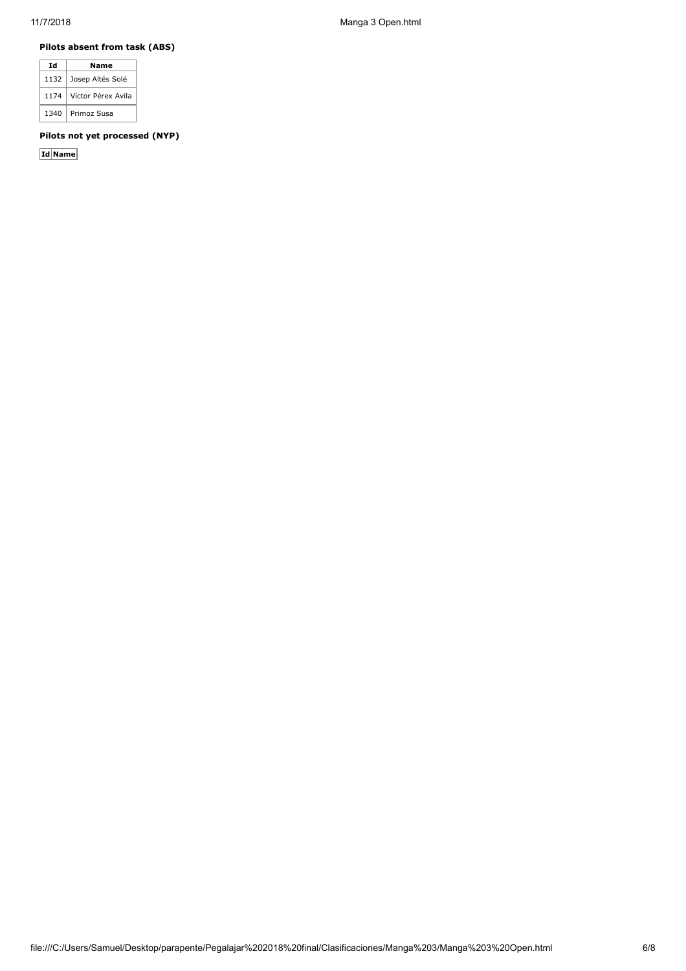# **Pilots absent from task (ABS)**

| Id   | Name               |  |  |  |  |  |
|------|--------------------|--|--|--|--|--|
| 1132 | Josep Altés Solé   |  |  |  |  |  |
| 1174 | Víctor Pérex Avila |  |  |  |  |  |
| 1340 | Primoz Susa        |  |  |  |  |  |

## **Pilots not yet processed (NYP)**

**Id Name**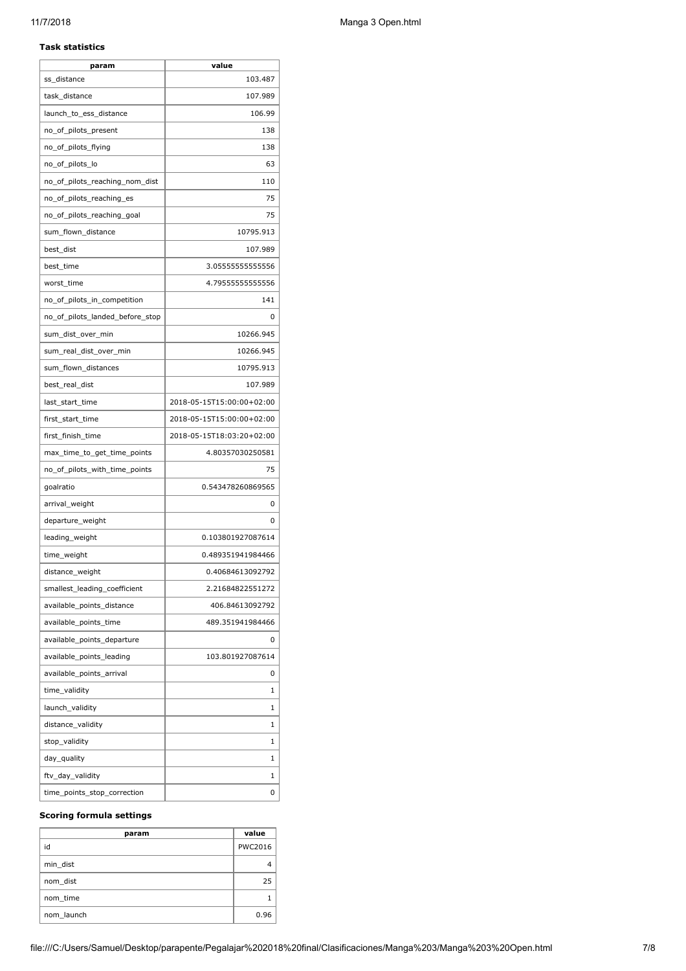# **Task statistics**

| param                           | value                     |
|---------------------------------|---------------------------|
| ss distance                     | 103.487                   |
| task_distance                   | 107.989                   |
| launch_to_ess_distance          | 106.99                    |
| no_of_pilots_present            | 138                       |
| no_of_pilots_flying             | 138                       |
| no_of_pilots_lo                 | 63                        |
| no_of_pilots_reaching_nom_dist  | 110                       |
| no_of_pilots_reaching_es        | 75                        |
| no of pilots reaching goal      | 75                        |
| sum_flown_distance              | 10795.913                 |
| best_dist                       | 107.989                   |
| best_time                       | 3.05555555555556          |
| worst_time                      | 4.79555555555556          |
| no_of_pilots_in_competition     | 141                       |
| no_of_pilots_landed_before_stop | 0                         |
| sum_dist_over_min               | 10266.945                 |
| sum real dist over min          | 10266.945                 |
| sum_flown_distances             | 10795.913                 |
| best_real_dist                  | 107.989                   |
| last_start_time                 | 2018-05-15T15:00:00+02:00 |
| first_start_time                | 2018-05-15T15:00:00+02:00 |
| first_finish_time               | 2018-05-15T18:03:20+02:00 |
| max_time_to_get_time_points     | 4.80357030250581          |
| no_of_pilots_with_time_points   | 75                        |
| goalratio                       | 0.543478260869565         |
| arrival_weight                  | 0                         |
| departure_weight                | 0                         |
| leading_weight                  | 0.103801927087614         |
| time_weight                     | 0.489351941984466         |
| distance_weight                 | 0.40684613092792          |
| smallest_leading_coefficient    | 2.21684822551272          |
| available_points_distance       | 406.84613092792           |
| available_points_time           | 489.351941984466          |
| available_points_departure      | 0                         |
| available_points_leading        | 103.801927087614          |
| available_points_arrival        | 0                         |
| time_validity                   | 1                         |
| launch_validity                 | 1                         |
| distance_validity               | 1                         |
| stop_validity                   | 1                         |
| day_quality                     | 1                         |
| ftv_day_validity                | 1                         |
| time_points_stop_correction     | 0                         |

## **Scoring formula settings**

| param      | value          |
|------------|----------------|
| id         | <b>PWC2016</b> |
| min dist   |                |
| nom dist   | 25             |
| nom time   |                |
| nom launch | 0.96           |